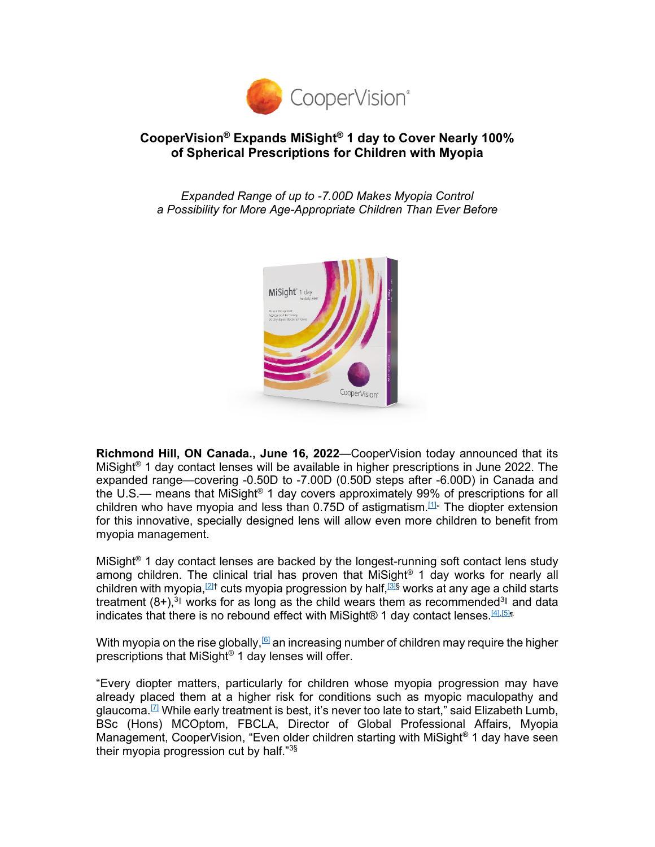

# **CooperVision® Expands MiSight® 1 day to Cover Nearly 100% of Spherical Prescriptions for Children with Myopia**

*Expanded Range of up to -7.00D Makes Myopia Control a Possibility for More Age-Appropriate Children Than Ever Before*

<span id="page-0-0"></span>

**Richmond Hill, ON Canada., June 16, 2022**—CooperVision today announced that its MiSight® 1 day contact lenses will be available in higher prescriptions in June 2022. The expanded range—covering -0.50D to -7.00D (0.50D steps after -6.00D) in Canada and the U.S.— means that MiSight<sup>®</sup> 1 day covers approximately 99% of prescriptions for all children who have myopia and less than 0.75D of astigmatism.<sup>[1]</sup> The diopter extension for this innovative, specially designed lens will allow even more children to benefit from myopia management.

<span id="page-0-2"></span><span id="page-0-1"></span>MiSight<sup>®</sup> 1 day contact lenses are backed by the longest-running soft contact lens study among children. The clinical trial has proven that MiSight® 1 day works for nearly all children with myopia,  $2$ <sup>†</sup> cuts myopia progression by half,  $3$ § works at any age a child starts treatment  $(8+)$ <sup>3</sup> works for as long as the child wears them as recommended<sup>3</sup> and data indicates that there is no rebound effect with MiSight® 1 day contact lenses.<sup>[4],[5]n</sup>.

<span id="page-0-4"></span><span id="page-0-3"></span>With myopia on the rise globally,  $[6]$  an increasing number of children may require the higher prescriptions that MiSight® 1 day lenses will offer.

"Every diopter matters, particularly for children whose myopia progression may have already placed them at a higher risk for conditions such as myopic maculopathy and glaucoma.<sup>[7]</sup> While early treatment is best, it's never too late to start," said Elizabeth Lumb, BSc (Hons) MCOptom, FBCLA, Director of Global Professional Affairs, Myopia Management, CooperVision, "Even older children starting with MiSight® 1 day have seen their myopia progression cut by half."3§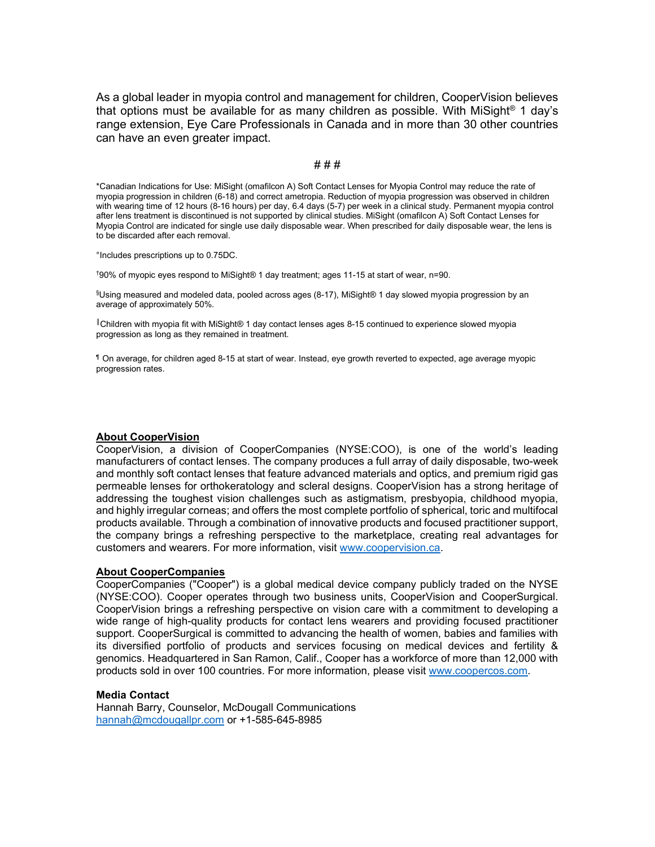As a global leader in myopia control and management for children, CooperVision believes that options must be available for as many children as possible. With MiSight<sup>®</sup> 1 day's range extension, Eye Care Professionals in Canada and in more than 30 other countries can have an even greater impact.

## # # #

\*Canadian Indications for Use: MiSight (omafilcon A) Soft Contact Lenses for Myopia Control may reduce the rate of myopia progression in children (6-18) and correct ametropia. Reduction of myopia progression was observed in children with wearing time of 12 hours (8-16 hours) per day, 6.4 days (5-7) per week in a clinical study. Permanent myopia control after lens treatment is discontinued is not supported by clinical studies. MiSight (omafilcon A) Soft Contact Lenses for Myopia Control are indicated for single use daily disposable wear. When prescribed for daily disposable wear, the lens is to be discarded after each removal.

°Includes prescriptions up to 0.75DC.

† 90% of myopic eyes respond to MiSight® 1 day treatment; ages 11-15 at start of wear, n=90.

 $\$$ Using measured and modeled data, pooled across ages (8-17), MiSight® 1 day slowed myopia progression by an  $^6$ average of approximately 50%.

║Children with myopia fit with MiSight® 1 day contact lenses ages 8-15 continued to experience slowed myopia progression as long as they remained in treatment.

¶ On average, for children aged 8-15 at start of wear. Instead, eye growth reverted to expected, age average myopic progression rates.

### **About CooperVision**

CooperVision, a division of CooperCompanies (NYSE:COO), is one of the world's leading manufacturers of contact lenses. The company produces a full array of daily disposable, two-week and monthly soft contact lenses that feature advanced materials and optics, and premium rigid gas permeable lenses for orthokeratology and scleral designs. CooperVision has a strong heritage of addressing the toughest vision challenges such as astigmatism, presbyopia, childhood myopia, and highly irregular corneas; and offers the most complete portfolio of spherical, toric and multifocal products available. Through a combination of innovative products and focused practitioner support, the company brings a refreshing perspective to the marketplace, creating real advantages for customers and wearers. For more information, visit [www.coopervision.ca.](http://link.mediaoutreach.meltwater.com/ls/click?upn=1RhV3KxeNgdxyyMgVO-2FP6yBS2oWu0WyWn2D5uuK8-2BIEWuA6N3U0Loq132GX2hKVxk-6J_j6cgk1rWggENoFgybW6ZQ7fVw77i4nXHDn8MUS3F9O9M30FysE8VI0qovlq1J3WrH4PdHgMjncqXfZ4UPqW4sumZzaPhr6K9ARhnI7-2FssLrn2h8uenZa-2FwXBGnfnwNN8yNsrivkMaOf0Y7Pf6Ezf4B9QnJSWn-2FR2UUM9fioLCV8zsD3-2BJm7DpJAXcI1Gagb9atXgv8rdSvY5YEzktPrlIhOgaOI-2FYUufRkf-2FpD6caqIzUWPuXhDSZvPXg3L4Z5WNburrahR0Nj-2F1sRd5sEi3SpYPMgR2jmrktBgO84k2O2ekYXHLj6vrbY3s2hMQXULYxymmImxn-2B-2BJ5mRho1NK7cyXNym30-2BkPPVif4DcDVXaFF5X5JZ4qY5NZJ7ORlLIBUFvWRdqBq9CxVs-2FKo6Gd6PA-3D-3D)

### **About CooperCompanies**

CooperCompanies ("Cooper") is a global medical device company publicly traded on the NYSE (NYSE:COO). Cooper operates through two business units, CooperVision and CooperSurgical. CooperVision brings a refreshing perspective on vision care with a commitment to developing a wide range of high-quality products for contact lens wearers and providing focused practitioner support. CooperSurgical is committed to advancing the health of women, babies and families with its diversified portfolio of products and services focusing on medical devices and fertility & genomics. Headquartered in San Ramon, Calif., Cooper has a workforce of more than 12,000 with products sold in over 100 countries. For more information, please visit [www.coopercos.com.](http://link.mediaoutreach.meltwater.com/ls/click?upn=1RhV3KxeNgdxyyMgVO-2FP63HJS-2FE8ppgmaCx-2Fmx8c9Ug3FytvZQeAOiMhA9G7hlxkWLoW_j6cgk1rWggENoFgybW6ZQ7fVw77i4nXHDn8MUS3F9O9M30FysE8VI0qovlq1J3WrH4PdHgMjncqXfZ4UPqW4sumZzaPhr6K9ARhnI7-2FssLrn2h8uenZa-2FwXBGnfnwNN8yNsrivkMaOf0Y7Pf6Ezf4B9QnJSWn-2FR2UUM9fioLCV8zsD3-2BJm7DpJAXcI1Gagb9atXgv8rdSvY5YEzktPrlInwaPFDe2FSa7vSZAsICBzgP6hzaWkceJPPYBTDSlcV7vubELWeDEfGzz2X9VkPdx46uHqML5LunS74-2Fox7XcbNHzpOnbnK7yfKDJ5vtqRpRT8HF0oQDOt8DBOvoZ-2BZ-2Bozj3kDGzYYdMUqgYx7pCo0duxu7Lhd3iI1mtO4o-2FZPHisf66UGTzB4SChpEXlttSBw-3D-3D)

### **Media Contact**

Hannah Barry, Counselor, McDougall Communications [hannah@mcdougallpr.com](mailto:hannah@mcdougallpr.com) or +1-585-645-8985